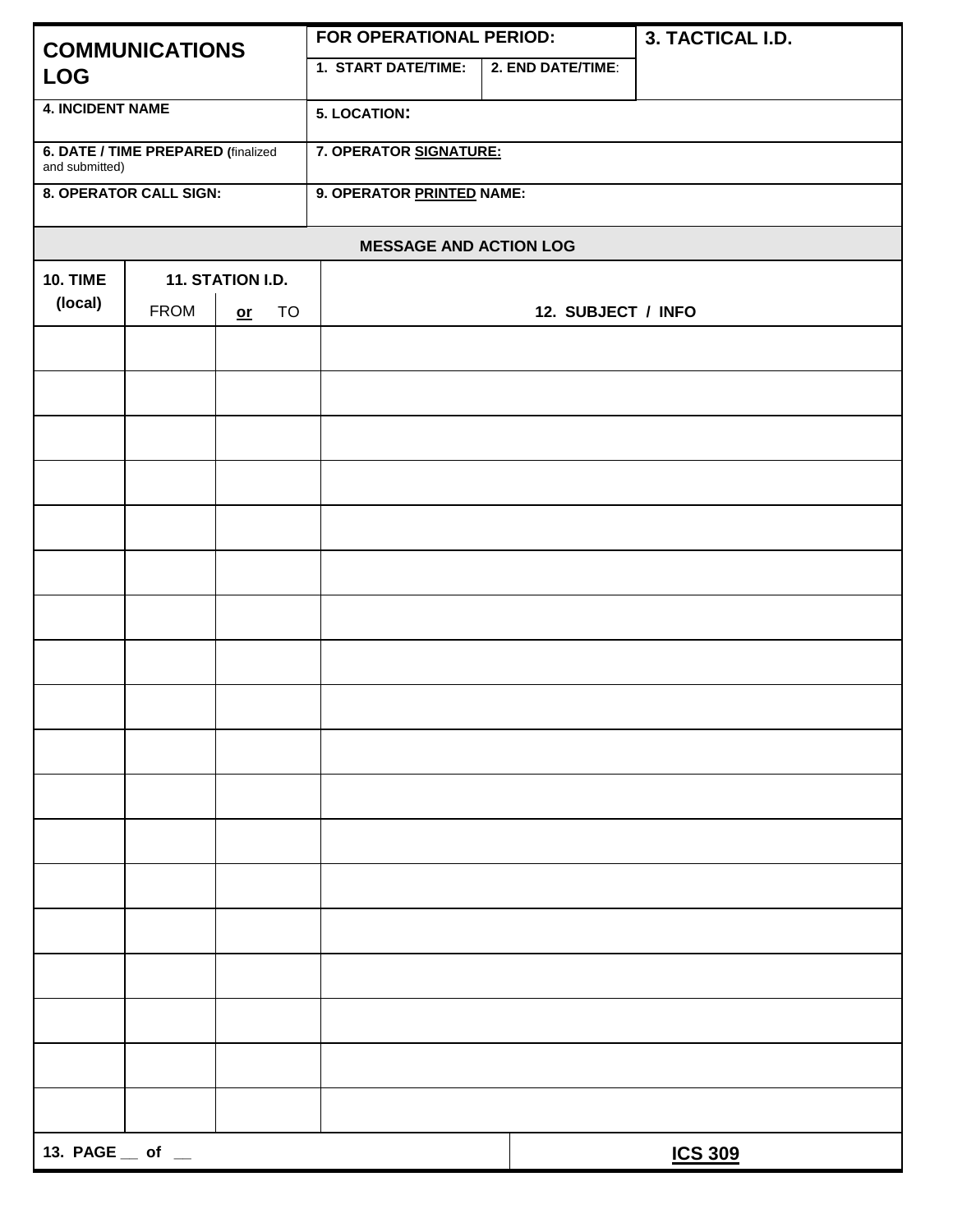| <b>COMMUNICATIONS</b><br><b>LOG</b>                  |                  |            | FOR OPERATIONAL PERIOD:   |                    | 3. TACTICAL I.D. |  |  |
|------------------------------------------------------|------------------|------------|---------------------------|--------------------|------------------|--|--|
|                                                      |                  |            | 1. START DATE/TIME:       | 2. END DATE/TIME:  |                  |  |  |
| <b>4. INCIDENT NAME</b>                              |                  |            | <b>5. LOCATION:</b>       |                    |                  |  |  |
| 6. DATE / TIME PREPARED (finalized<br>and submitted) |                  |            | 7. OPERATOR SIGNATURE:    |                    |                  |  |  |
| 8. OPERATOR CALL SIGN:                               |                  |            | 9. OPERATOR PRINTED NAME: |                    |                  |  |  |
| <b>MESSAGE AND ACTION LOG</b>                        |                  |            |                           |                    |                  |  |  |
| <b>10. TIME</b>                                      | 11. STATION I.D. |            |                           |                    |                  |  |  |
| (local)                                              | <b>FROM</b>      | TO<br>$or$ |                           | 12. SUBJECT / INFO |                  |  |  |
|                                                      |                  |            |                           |                    |                  |  |  |
|                                                      |                  |            |                           |                    |                  |  |  |
|                                                      |                  |            |                           |                    |                  |  |  |
|                                                      |                  |            |                           |                    |                  |  |  |
|                                                      |                  |            |                           |                    |                  |  |  |
|                                                      |                  |            |                           |                    |                  |  |  |
|                                                      |                  |            |                           |                    |                  |  |  |
|                                                      |                  |            |                           |                    |                  |  |  |
|                                                      |                  |            |                           |                    |                  |  |  |
|                                                      |                  |            |                           |                    |                  |  |  |
|                                                      |                  |            |                           |                    |                  |  |  |
|                                                      |                  |            |                           |                    |                  |  |  |
|                                                      |                  |            |                           |                    |                  |  |  |
|                                                      |                  |            |                           |                    |                  |  |  |
|                                                      |                  |            |                           |                    |                  |  |  |
|                                                      |                  |            |                           |                    |                  |  |  |
|                                                      |                  |            |                           |                    |                  |  |  |
|                                                      |                  |            |                           |                    |                  |  |  |
|                                                      |                  |            |                           |                    |                  |  |  |
| 13. $PAGE \_\ of \_\$                                |                  |            |                           |                    | <b>ICS 309</b>   |  |  |